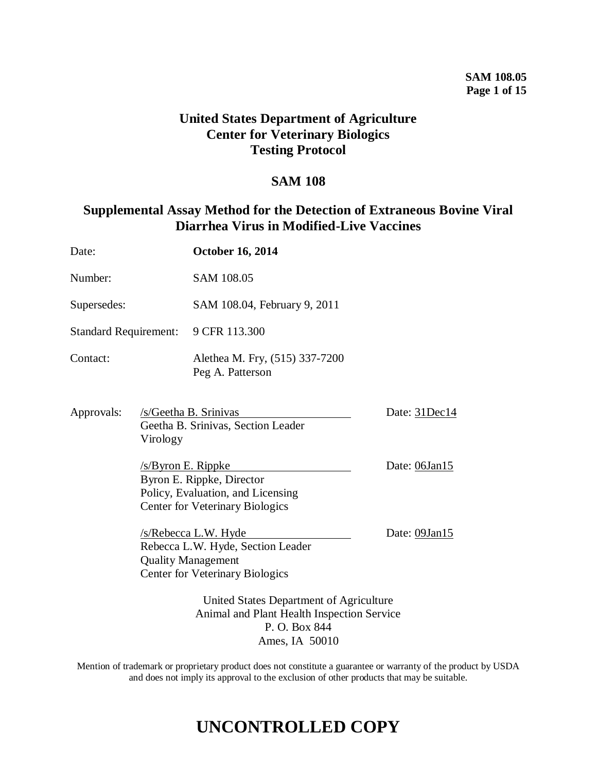## **United States Department of Agriculture Center for Veterinary Biologics Testing Protocol**

### **SAM 108**

## **Supplemental Assay Method for the Detection of Extraneous Bovine Viral Diarrhea Virus in Modified-Live Vaccines**

| Date:                        |                                                                                                                          | <b>October 16, 2014</b>                                                                                                          |               |
|------------------------------|--------------------------------------------------------------------------------------------------------------------------|----------------------------------------------------------------------------------------------------------------------------------|---------------|
| Number:                      |                                                                                                                          | <b>SAM 108.05</b>                                                                                                                |               |
| Supersedes:                  |                                                                                                                          | SAM 108.04, February 9, 2011                                                                                                     |               |
| <b>Standard Requirement:</b> |                                                                                                                          | 9 CFR 113.300                                                                                                                    |               |
| Contact:                     |                                                                                                                          | Alethea M. Fry, (515) 337-7200<br>Peg A. Patterson                                                                               |               |
| Approvals:                   | Virology                                                                                                                 | /s/Geetha B. Srinivas<br>Geetha B. Srinivas, Section Leader                                                                      | Date: 31Dec14 |
|                              |                                                                                                                          | /s/Byron E. Rippke<br>Byron E. Rippke, Director<br>Policy, Evaluation, and Licensing<br><b>Center for Veterinary Biologics</b>   | Date: 06Jan15 |
|                              |                                                                                                                          | /s/Rebecca L.W. Hyde<br>Rebecca L.W. Hyde, Section Leader<br><b>Quality Management</b><br><b>Center for Veterinary Biologics</b> | Date: 09Jan15 |
|                              | United States Department of Agriculture<br>Animal and Plant Health Inspection Service<br>P. O. Box 844<br>Ames, IA 50010 |                                                                                                                                  |               |

Mention of trademark or proprietary product does not constitute a guarantee or warranty of the product by USDA and does not imply its approval to the exclusion of other products that may be suitable.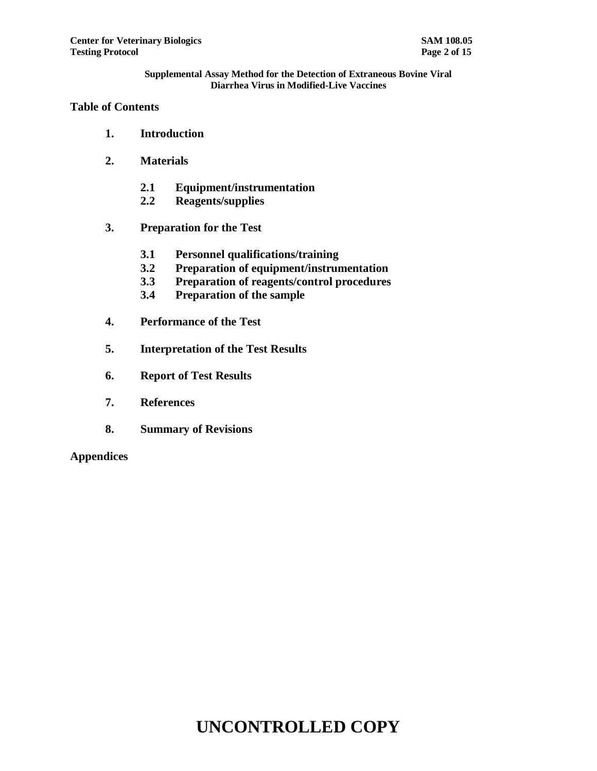## **Table of Contents**

- **1. Introduction**
- **2. Materials**
	- **2.1 Equipment/instrumentation**
	- **2.2 Reagents/supplies**
- **3. Preparation for the Test**
	- **3.1 Personnel qualifications/training**
	- **3.2 Preparation of equipment/instrumentation**
	- **3.3 Preparation of reagents/control procedures**
	- **3.4 Preparation of the sample**
- **4. Performance of the Test**
- **5. Interpretation of the Test Results**
- **6. Report of Test Results**
- **7. References**
- **8. Summary of Revisions**

**Appendices**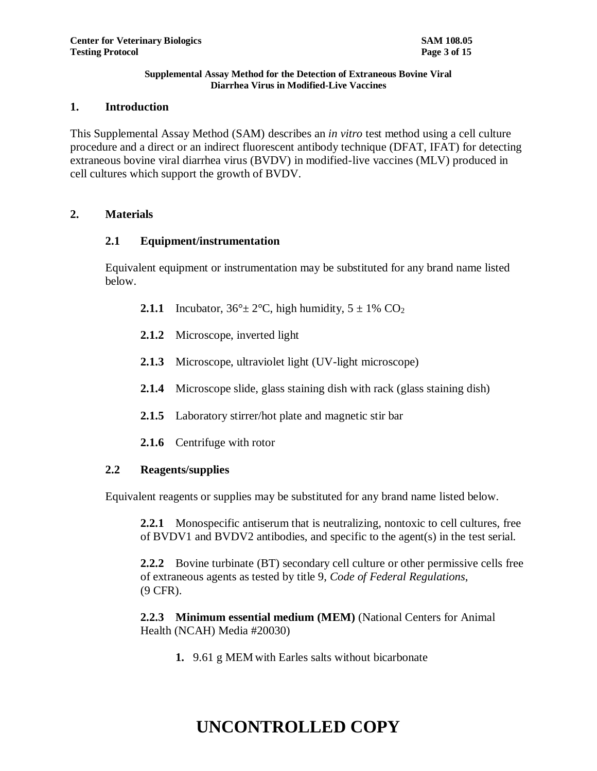#### **1. Introduction**

This Supplemental Assay Method (SAM) describes an *in vitro* test method using a cell culture procedure and a direct or an indirect fluorescent antibody technique (DFAT, IFAT) for detecting extraneous bovine viral diarrhea virus (BVDV) in modified-live vaccines (MLV) produced in cell cultures which support the growth of BVDV.

#### **2. Materials**

#### **2.1 Equipment/instrumentation**

Equivalent equipment or instrumentation may be substituted for any brand name listed below.

- **2.1.1** Incubator,  $36^\circ \pm 2^\circ \text{C}$ , high humidity,  $5 \pm 1\%$  CO<sub>2</sub>
- **2.1.2** Microscope, inverted light
- **2.1.3** Microscope, ultraviolet light (UV-light microscope)
- **2.1.4** Microscope slide, glass staining dish with rack (glass staining dish)
- **2.1.5** Laboratory stirrer/hot plate and magnetic stir bar
- **2.1.6** Centrifuge with rotor

#### **2.2 Reagents/supplies**

Equivalent reagents or supplies may be substituted for any brand name listed below.

**2.2.1** Monospecific antiserum that is neutralizing, nontoxic to cell cultures, free of BVDV1 and BVDV2 antibodies, and specific to the agent(s) in the test serial.

**2.2.2** Bovine turbinate (BT) secondary cell culture or other permissive cells free of extraneous agents as tested by title 9, *Code of Federal Regulations*, (9 CFR).

**2.2.3 Minimum essential medium (MEM)** (National Centers for Animal Health (NCAH) Media #20030)

**1.** 9.61 g MEM with Earles salts without bicarbonate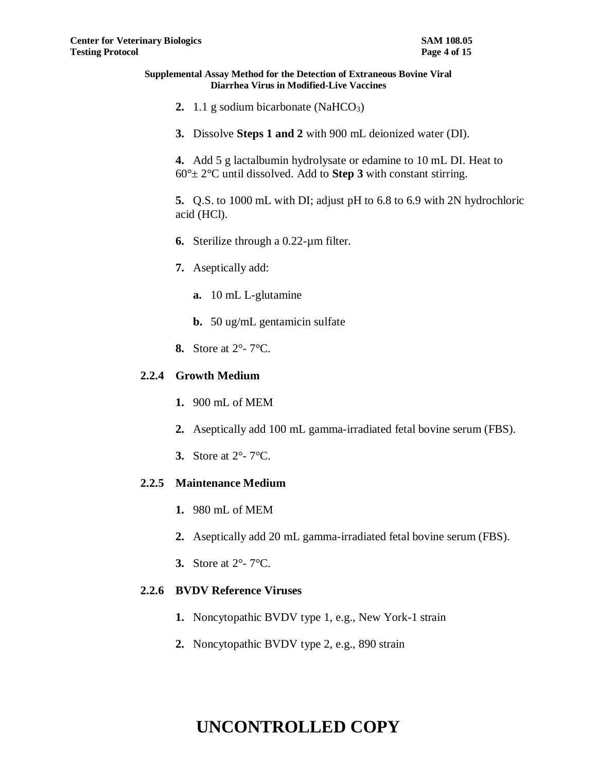- **2.** 1.1 g sodium bicarbonate (NaHCO<sub>3</sub>)
- **3.** Dissolve **Steps 1 and 2** with 900 mL deionized water (DI).

**4.** Add 5 g lactalbumin hydrolysate or edamine to 10 mL DI. Heat to  $60^\circ \pm 2^\circ$ C until dissolved. Add to **Step 3** with constant stirring.

**5.** Q.S. to 1000 mL with DI; adjust pH to 6.8 to 6.9 with 2N hydrochloric acid (HCl).

- **6.** Sterilize through a 0.22-µm filter.
- **7.** Aseptically add:
	- **a.** 10 mL L-glutamine
	- **b.** 50 ug/mL gentamicin sulfate
- **8.** Store at 2°- 7°C.

#### **2.2.4 Growth Medium**

- **1.** 900 mL of MEM
- **2.** Aseptically add 100 mL gamma-irradiated fetal bovine serum (FBS).
- **3.** Store at 2°- 7°C.

#### **2.2.5 Maintenance Medium**

- **1.** 980 mL of MEM
- **2.** Aseptically add 20 mL gamma-irradiated fetal bovine serum (FBS).
- **3.** Store at 2°- 7°C.

#### **2.2.6 BVDV Reference Viruses**

- **1.** Noncytopathic BVDV type 1, e.g., New York-1 strain
- **2.** Noncytopathic BVDV type 2, e.g., 890 strain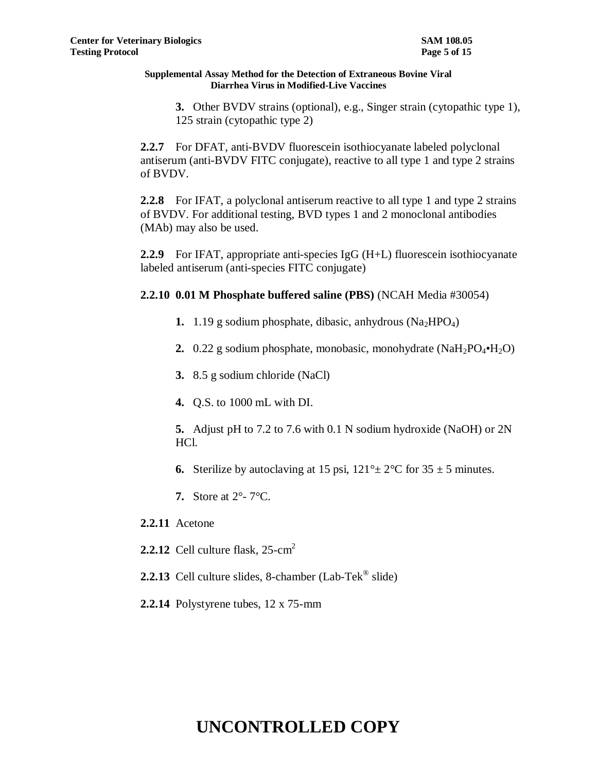**3.** Other BVDV strains (optional), e.g., Singer strain (cytopathic type 1), 125 strain (cytopathic type 2)

**2.2.7** For DFAT, anti-BVDV fluorescein isothiocyanate labeled polyclonal antiserum (anti-BVDV FITC conjugate), reactive to all type 1 and type 2 strains of BVDV.

**2.2.8** For IFAT, a polyclonal antiserum reactive to all type 1 and type 2 strains of BVDV. For additional testing, BVD types 1 and 2 monoclonal antibodies (MAb) may also be used.

**2.2.9** For IFAT, appropriate anti-species IgG (H+L) fluorescein isothiocyanate labeled antiserum (anti-species FITC conjugate)

**2.2.10 0.01 M Phosphate buffered saline (PBS)** (NCAH Media #30054)

- **1.**  $1.19$  g sodium phosphate, dibasic, anhydrous (Na<sub>2</sub>HPO<sub>4</sub>)
- **2.** 0.22 g sodium phosphate, monobasic, monohydrate (NaH<sub>2</sub>PO<sub>4</sub>·H<sub>2</sub>O)
- **3.** 8.5 g sodium chloride (NaCl)
- **4.** Q.S. to 1000 mL with DI.
- **5.** Adjust pH to 7.2 to 7.6 with 0.1 N sodium hydroxide (NaOH) or 2N HCl.
- **6.** Sterilize by autoclaving at 15 psi,  $121^\circ \pm 2^\circ \text{C}$  for  $35 \pm 5$  minutes.
- **7.** Store at 2°- 7°C.
- **2.2.11** Acetone
- **2.2.12** Cell culture flask, 25-cm 2
- 2.2.13 Cell culture slides, 8-chamber (Lab-Tek<sup>®</sup> slide)
- **2.2.14** Polystyrene tubes, 12 x 75-mm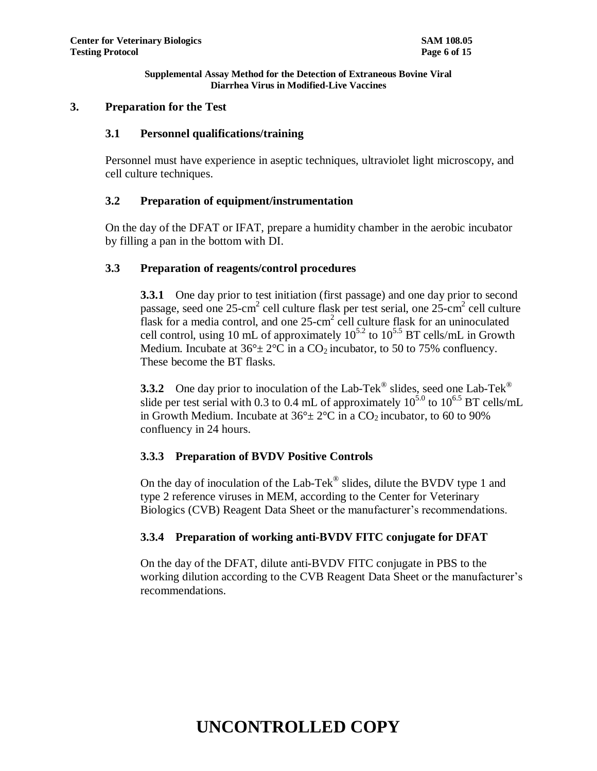#### **3. Preparation for the Test**

### **3.1 Personnel qualifications/training**

Personnel must have experience in aseptic techniques, ultraviolet light microscopy, and cell culture techniques.

## **3.2 Preparation of equipment/instrumentation**

On the day of the DFAT or IFAT, prepare a humidity chamber in the aerobic incubator by filling a pan in the bottom with DI.

#### **3.3 Preparation of reagents/control procedures**

**3.3.1** One day prior to test initiation (first passage) and one day prior to second passage, seed one 25-cm<sup>2</sup> cell culture flask per test serial, one 25-cm<sup>2</sup> cell culture flask for a media control, and one  $25$ -cm<sup>2</sup> cell culture flask for an uninoculated cell control, using 10 mL of approximately  $10^{5.2}$  to  $10^{5.5}$  BT cells/mL in Growth Medium. Incubate at  $36^{\circ} \pm 2^{\circ}$ C in a CO<sub>2</sub> incubator, to 50 to 75% confluency. These become the BT flasks.

**3.3.2** One day prior to inoculation of the Lab-Tek<sup>®</sup> slides, seed one Lab-Tek<sup>®</sup> slide per test serial with 0.3 to 0.4 mL of approximately  $10^{5.0}$  to  $10^{6.5}$  BT cells/mL in Growth Medium. Incubate at  $36^{\circ}$  ±  $2^{\circ}$ C in a CO<sub>2</sub> incubator, to 60 to 90% confluency in 24 hours.

## **3.3.3 Preparation of BVDV Positive Controls**

On the day of inoculation of the Lab-Tek $^{\circledR}$  slides, dilute the BVDV type 1 and type 2 reference viruses in MEM, according to the Center for Veterinary Biologics (CVB) Reagent Data Sheet or the manufacturer's recommendations.

## **3.3.4 Preparation of working anti-BVDV FITC conjugate for DFAT**

On the day of the DFAT, dilute anti-BVDV FITC conjugate in PBS to the working dilution according to the CVB Reagent Data Sheet or the manufacturer's recommendations.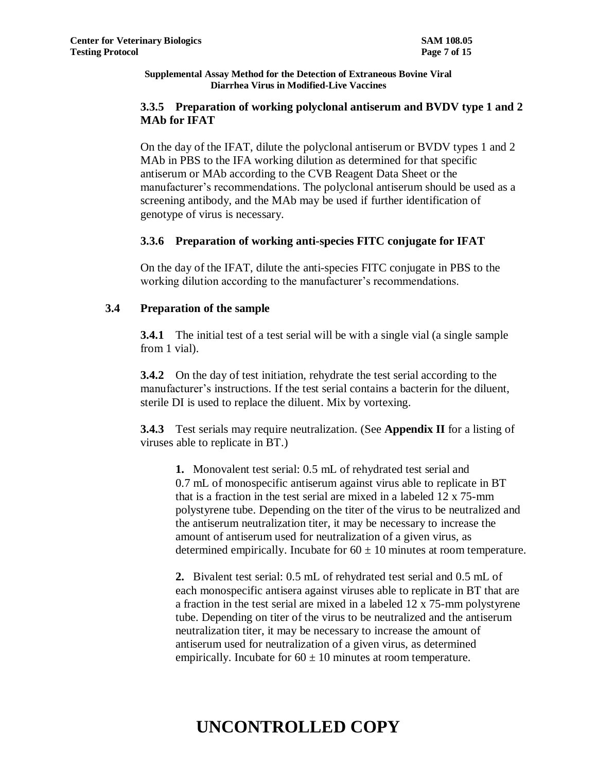## **3.3.5 Preparation of working polyclonal antiserum and BVDV type 1 and 2 MAb for IFAT**

On the day of the IFAT, dilute the polyclonal antiserum or BVDV types 1 and 2 MAb in PBS to the IFA working dilution as determined for that specific antiserum or MAb according to the CVB Reagent Data Sheet or the manufacturer's recommendations. The polyclonal antiserum should be used as a screening antibody, and the MAb may be used if further identification of genotype of virus is necessary.

## **3.3.6 Preparation of working anti-species FITC conjugate for IFAT**

On the day of the IFAT, dilute the anti-species FITC conjugate in PBS to the working dilution according to the manufacturer's recommendations.

## **3.4 Preparation of the sample**

**3.4.1** The initial test of a test serial will be with a single vial (a single sample from 1 vial).

**3.4.2** On the day of test initiation, rehydrate the test serial according to the manufacturer's instructions. If the test serial contains a bacterin for the diluent, sterile DI is used to replace the diluent. Mix by vortexing.

**3.4.3** Test serials may require neutralization. (See **Appendix II** for a listing of viruses able to replicate in BT.)

**1.** Monovalent test serial: 0.5 mL of rehydrated test serial and 0.7 mL of monospecific antiserum against virus able to replicate in BT that is a fraction in the test serial are mixed in a labeled 12 x 75-mm polystyrene tube. Depending on the titer of the virus to be neutralized and the antiserum neutralization titer, it may be necessary to increase the amount of antiserum used for neutralization of a given virus, as determined empirically. Incubate for  $60 \pm 10$  minutes at room temperature.

**2.** Bivalent test serial: 0.5 mL of rehydrated test serial and 0.5 mL of each monospecific antisera against viruses able to replicate in BT that are a fraction in the test serial are mixed in a labeled 12 x 75-mm polystyrene tube. Depending on titer of the virus to be neutralized and the antiserum neutralization titer, it may be necessary to increase the amount of antiserum used for neutralization of a given virus, as determined empirically. Incubate for  $60 \pm 10$  minutes at room temperature.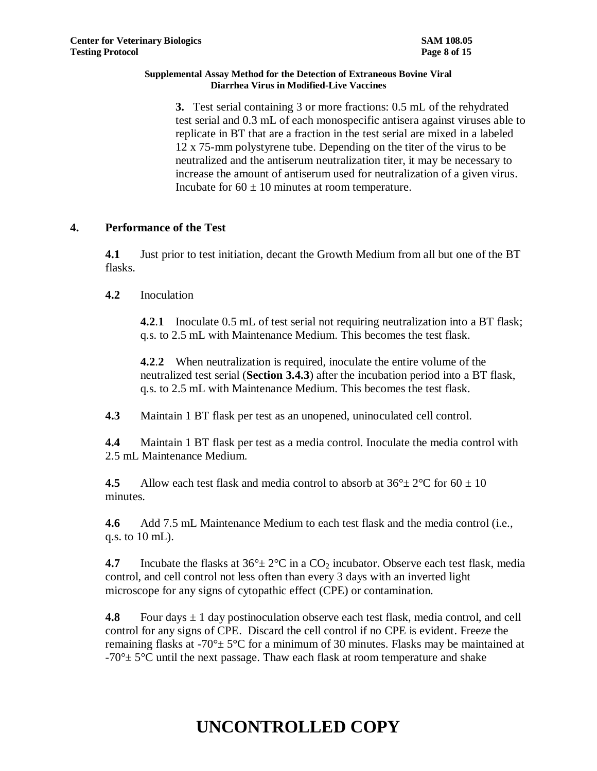**3.** Test serial containing 3 or more fractions: 0.5 mL of the rehydrated test serial and 0.3 mL of each monospecific antisera against viruses able to replicate in BT that are a fraction in the test serial are mixed in a labeled 12 x 75-mm polystyrene tube. Depending on the titer of the virus to be neutralized and the antiserum neutralization titer, it may be necessary to increase the amount of antiserum used for neutralization of a given virus. Incubate for  $60 \pm 10$  minutes at room temperature.

## **4. Performance of the Test**

**4.1** Just prior to test initiation, decant the Growth Medium from all but one of the BT flasks.

## **4.2** Inoculation

**4.2**.**1** Inoculate 0.5 mL of test serial not requiring neutralization into a BT flask; q.s. to 2.5 mL with Maintenance Medium. This becomes the test flask.

**4.2**.**2** When neutralization is required, inoculate the entire volume of the neutralized test serial (**Section 3.4.3**) after the incubation period into a BT flask, q.s. to 2.5 mL with Maintenance Medium. This becomes the test flask.

**4.3** Maintain 1 BT flask per test as an unopened, uninoculated cell control.

**4.4** Maintain 1 BT flask per test as a media control. Inoculate the media control with 2.5 mL Maintenance Medium.

**4.5** Allow each test flask and media control to absorb at  $36^{\circ} \pm 2^{\circ}$ C for  $60 \pm 10$ minutes.

**4.6** Add 7.5 mL Maintenance Medium to each test flask and the media control (i.e., q.s. to 10 mL).

**4.7** Incubate the flasks at  $36^\circ \pm 2^\circ \text{C}$  in a CO<sub>2</sub> incubator. Observe each test flask, media control, and cell control not less often than every 3 days with an inverted light microscope for any signs of cytopathic effect (CPE) or contamination.

**4.8** Four days  $\pm 1$  day postinoculation observe each test flask, media control, and cell control for any signs of CPE. Discard the cell control if no CPE is evident. Freeze the remaining flasks at -70 $\degree$  ± 5 $\degree$ C for a minimum of 30 minutes. Flasks may be maintained at  $-70^{\circ}$  ± 5<sup>o</sup>C until the next passage. Thaw each flask at room temperature and shake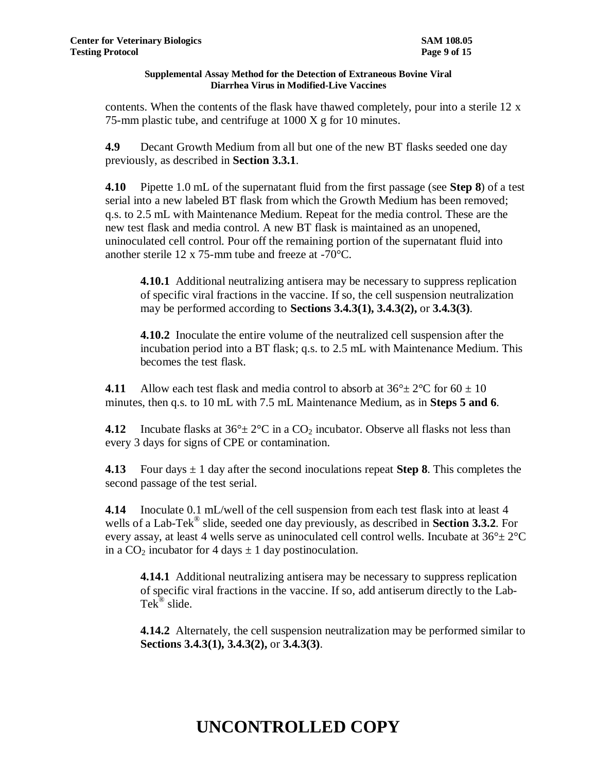contents. When the contents of the flask have thawed completely, pour into a sterile 12 x 75-mm plastic tube, and centrifuge at  $1000 \text{ X g}$  for 10 minutes.

**4.9** Decant Growth Medium from all but one of the new BT flasks seeded one day previously, as described in **Section 3.3.1**.

**4.10** Pipette 1.0 mL of the supernatant fluid from the first passage (see **Step 8**) of a test serial into a new labeled BT flask from which the Growth Medium has been removed; q.s. to 2.5 mL with Maintenance Medium. Repeat for the media control. These are the new test flask and media control. A new BT flask is maintained as an unopened, uninoculated cell control. Pour off the remaining portion of the supernatant fluid into another sterile 12 x 75-mm tube and freeze at -70°C.

**4.10.1** Additional neutralizing antisera may be necessary to suppress replication of specific viral fractions in the vaccine. If so, the cell suspension neutralization may be performed according to **Sections 3.4.3(1), 3.4.3(2),** or **3.4.3(3)**.

**4.10.2** Inoculate the entire volume of the neutralized cell suspension after the incubation period into a BT flask; q.s. to 2.5 mL with Maintenance Medium. This becomes the test flask.

**4.11** Allow each test flask and media control to absorb at  $36^{\circ} \pm 2^{\circ}$ C for  $60 \pm 10$ minutes, then q.s. to 10 mL with 7.5 mL Maintenance Medium, as in **Steps 5 and 6**.

**4.12** Incubate flasks at  $36^\circ \pm 2^\circ \text{C}$  in a CO<sub>2</sub> incubator. Observe all flasks not less than every 3 days for signs of CPE or contamination.

**4.13** Four days  $\pm 1$  day after the second inoculations repeat **Step 8**. This completes the second passage of the test serial.

**4.14** Inoculate 0.1 mL/well of the cell suspension from each test flask into at least 4 wells of a Lab-Tek® slide, seeded one day previously, as described in **Section 3.3.2**. For every assay, at least 4 wells serve as uninoculated cell control wells. Incubate at  $36^{\circ} \pm 2^{\circ}$ C in a  $CO<sub>2</sub>$  incubator for 4 days  $\pm$  1 day postinoculation.

**4.14.1** Additional neutralizing antisera may be necessary to suppress replication of specific viral fractions in the vaccine. If so, add antiserum directly to the Lab-Tek<sup>®</sup> slide.

**4.14.2** Alternately, the cell suspension neutralization may be performed similar to **Sections 3.4.3(1), 3.4.3(2),** or **3.4.3(3)**.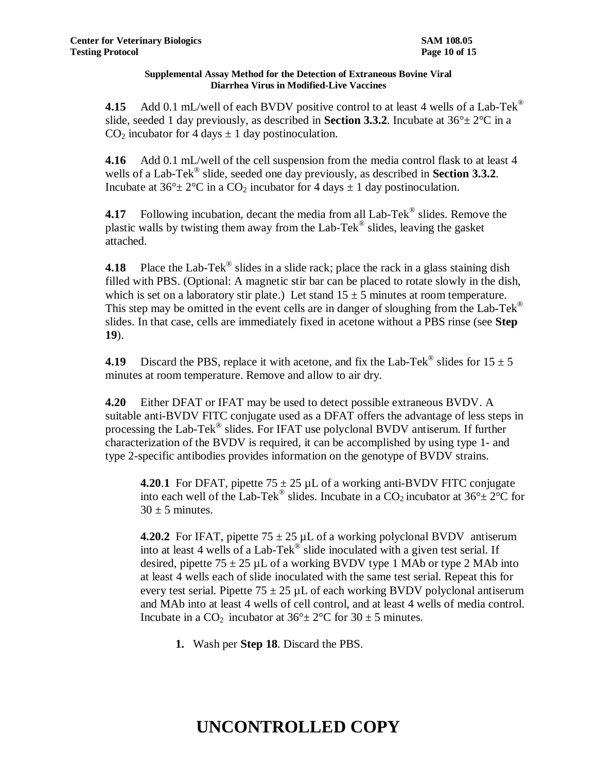**4.15** Add 0.1 mL/well of each BVDV positive control to at least 4 wells of a Lab-Tek<sup>®</sup> slide, seeded 1 day previously, as described in **Section 3.3.2**. Incubate at  $36^{\circ} \pm 2^{\circ}$ C in a  $CO<sub>2</sub>$  incubator for 4 days  $\pm$  1 day postinoculation.

**4.16** Add 0.1 mL/well of the cell suspension from the media control flask to at least 4 wells of a Lab-Tek® slide, seeded one day previously, as described in **Section 3.3.2**. Incubate at  $36^{\circ} \pm 2^{\circ}$ C in a CO<sub>2</sub> incubator for 4 days  $\pm 1$  day postinoculation.

**4.17** Following incubation, decant the media from all Lab-Tek<sup>®</sup> slides. Remove the plastic walls by twisting them away from the Lab-Tek® slides, leaving the gasket attached.

**4.18** Place the Lab-Tek<sup>®</sup> slides in a slide rack; place the rack in a glass staining dish filled with PBS. (Optional: A magnetic stir bar can be placed to rotate slowly in the dish, which is set on a laboratory stir plate.) Let stand  $15 \pm 5$  minutes at room temperature. This step may be omitted in the event cells are in danger of sloughing from the Lab-Tek<sup>®</sup> slides. In that case, cells are immediately fixed in acetone without a PBS rinse (see **Step 19**).

**4.19** Discard the PBS, replace it with acetone, and fix the Lab-Tek<sup>®</sup> slides for  $15 \pm 5$ minutes at room temperature. Remove and allow to air dry.

**4.20** Either DFAT or IFAT may be used to detect possible extraneous BVDV. A suitable anti-BVDV FITC conjugate used as a DFAT offers the advantage of less steps in processing the Lab-Tek® slides. For IFAT use polyclonal BVDV antiserum. If further characterization of the BVDV is required, it can be accomplished by using type 1- and type 2-specific antibodies provides information on the genotype of BVDV strains.

**4.20.1** For DFAT, pipette  $75 \pm 25$  µL of a working anti-BVDV FITC conjugate into each well of the Lab-Tek<sup>®</sup> slides. Incubate in a  $CO_2$  incubator at  $36^\circ \pm 2^\circ C$  for  $30 \pm 5$  minutes.

**4.20.2** For IFAT, pipette  $75 \pm 25$  µL of a working polyclonal BVDV antiserum into at least 4 wells of a Lab-Tek<sup>®</sup> slide inoculated with a given test serial. If desired, pipette  $75 \pm 25$  µL of a working BVDV type 1 MAb or type 2 MAb into at least 4 wells each of slide inoculated with the same test serial. Repeat this for every test serial. Pipette  $75 \pm 25$  µL of each working BVDV polyclonal antiserum and MAb into at least 4 wells of cell control, and at least 4 wells of media control. Incubate in a CO<sub>2</sub> incubator at  $36^{\circ} \pm 2^{\circ}$ C for  $30 \pm 5$  minutes.

**1.** Wash per **Step 18**. Discard the PBS.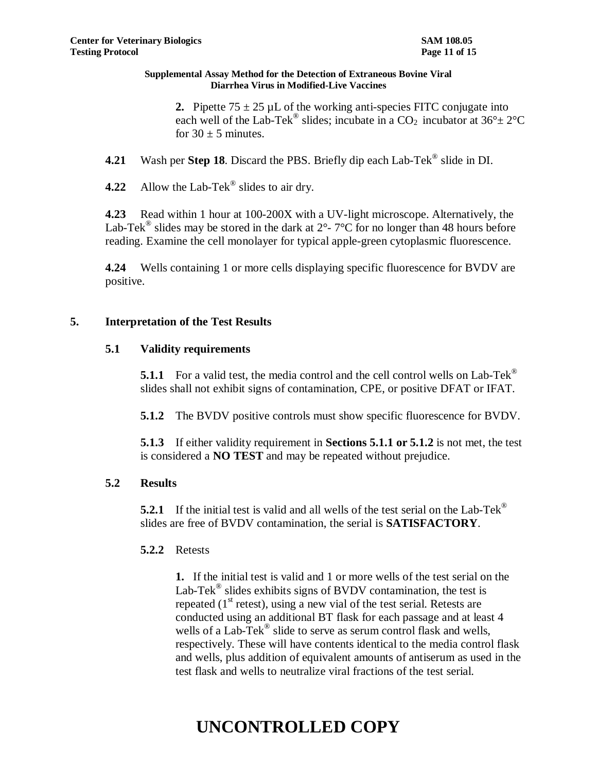**2.** Pipette  $75 \pm 25$  µL of the working anti-species FITC conjugate into each well of the Lab-Tek<sup>®</sup> slides; incubate in a CO<sub>2</sub> incubator at  $36^{\circ} \pm 2^{\circ}$ C for  $30 \pm 5$  minutes.

- **4.21** Wash per **Step 18**. Discard the PBS. Briefly dip each Lab-Tek® slide in DI.
- **4.22** Allow the Lab-Tek® slides to air dry.

**4.23** Read within 1 hour at 100-200X with a UV-light microscope. Alternatively, the Lab-Tek<sup>®</sup> slides may be stored in the dark at  $2^{\circ}$ -  $7^{\circ}$ C for no longer than 48 hours before reading. Examine the cell monolayer for typical apple-green cytoplasmic fluorescence.

**4.24** Wells containing 1 or more cells displaying specific fluorescence for BVDV are positive.

## **5. Interpretation of the Test Results**

## **5.1 Validity requirements**

**5.1.1** For a valid test, the media control and the cell control wells on Lab-Tek<sup>®</sup> slides shall not exhibit signs of contamination, CPE, or positive DFAT or IFAT.

**5.1.2** The BVDV positive controls must show specific fluorescence for BVDV.

**5.1.3** If either validity requirement in **Sections 5.1.1 or 5.1.2** is not met, the test is considered a **NO TEST** and may be repeated without prejudice.

## **5.2 Results**

**5.2.1** If the initial test is valid and all wells of the test serial on the Lab-Tek<sup>®</sup> slides are free of BVDV contamination, the serial is **SATISFACTORY**.

## **5.2.2** Retests

**1.** If the initial test is valid and 1 or more wells of the test serial on the Lab-Tek<sup>®</sup> slides exhibits signs of BVDV contamination, the test is repeated  $(1<sup>st</sup> \text{ retest})$ , using a new vial of the test serial. Retests are conducted using an additional BT flask for each passage and at least 4 wells of a Lab-Tek<sup>®</sup> slide to serve as serum control flask and wells, respectively. These will have contents identical to the media control flask and wells, plus addition of equivalent amounts of antiserum as used in the test flask and wells to neutralize viral fractions of the test serial.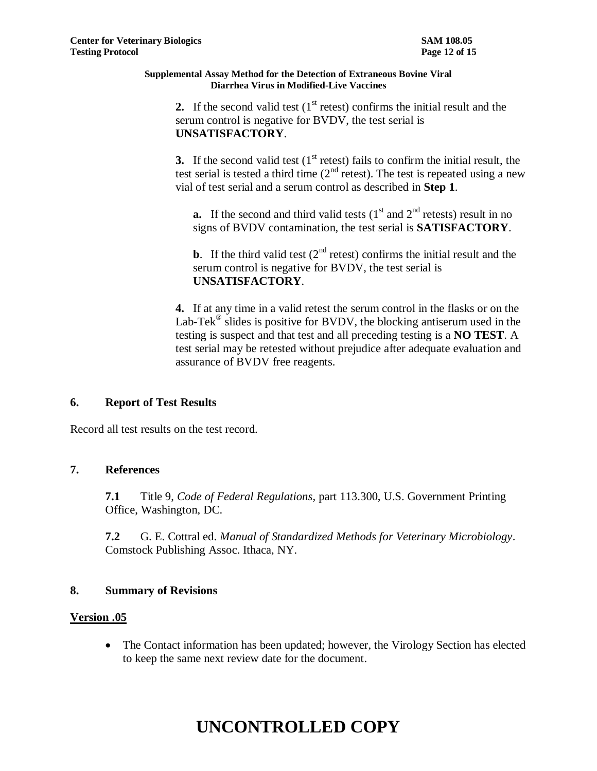**2.** If the second valid test  $(1<sup>st</sup>$  retest) confirms the initial result and the serum control is negative for BVDV, the test serial is **UNSATISFACTORY**.

**3.** If the second valid test  $(1<sup>st</sup>$  retest) fails to confirm the initial result, the test serial is tested a third time  $(2<sup>nd</sup>$  retest). The test is repeated using a new vial of test serial and a serum control as described in **Step 1**.

**a.** If the second and third valid tests  $(1<sup>st</sup>$  and  $2<sup>nd</sup>$  retests) result in no signs of BVDV contamination, the test serial is **SATISFACTORY**.

**b**. If the third valid test  $(2^{nd}$  retest) confirms the initial result and the serum control is negative for BVDV, the test serial is **UNSATISFACTORY**.

**4.** If at any time in a valid retest the serum control in the flasks or on the Lab-Tek<sup>®</sup> slides is positive for BVDV, the blocking antiserum used in the testing is suspect and that test and all preceding testing is a **NO TEST**. A test serial may be retested without prejudice after adequate evaluation and assurance of BVDV free reagents.

## **6. Report of Test Results**

Record all test results on the test record.

## **7. References**

**7.1** Title 9, *Code of Federal Regulations,* part 113.300, U.S. Government Printing Office, Washington, DC.

**7.2** G. E. Cottral ed. *Manual of Standardized Methods for Veterinary Microbiology*. Comstock Publishing Assoc. Ithaca, NY.

## **8. Summary of Revisions**

## **Version .05**

 The Contact information has been updated; however, the Virology Section has elected to keep the same next review date for the document.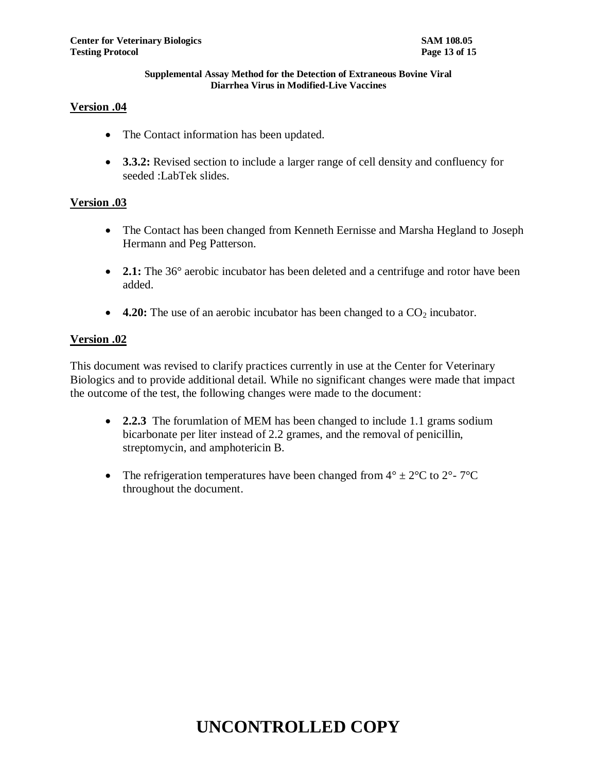#### **Version .04**

- The Contact information has been updated.
- **3.3.2:** Revised section to include a larger range of cell density and confluency for seeded :LabTek slides.

#### **Version .03**

- The Contact has been changed from Kenneth Eernisse and Marsha Hegland to Joseph Hermann and Peg Patterson.
- **2.1:** The 36° aerobic incubator has been deleted and a centrifuge and rotor have been added.
- 4.20: The use of an aerobic incubator has been changed to a CO<sub>2</sub> incubator.

#### **Version .02**

This document was revised to clarify practices currently in use at the Center for Veterinary Biologics and to provide additional detail. While no significant changes were made that impact the outcome of the test, the following changes were made to the document:

- **2.2.3** The forumlation of MEM has been changed to include 1.1 grams sodium bicarbonate per liter instead of 2.2 grames, and the removal of penicillin, streptomycin, and amphotericin B.
- The refrigeration temperatures have been changed from  $4^{\circ} \pm 2^{\circ}C$  to  $2^{\circ}$   $7^{\circ}C$ throughout the document.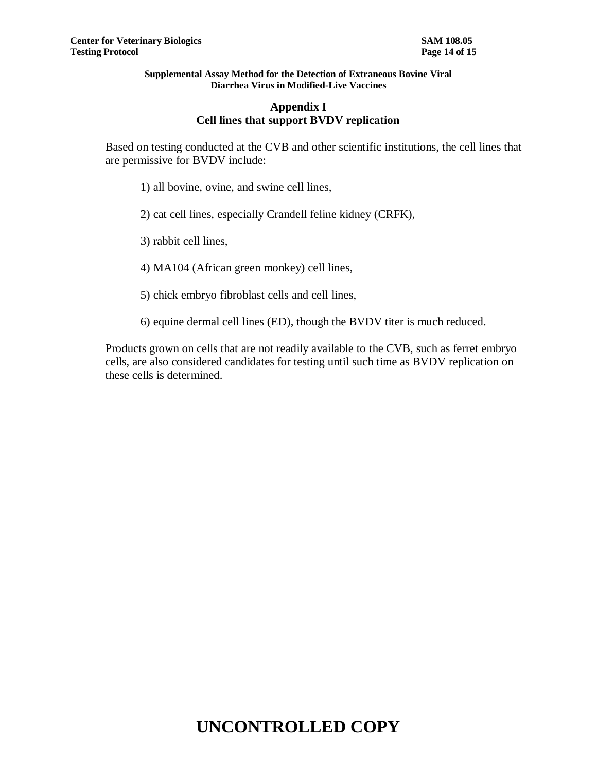### **Appendix I Cell lines that support BVDV replication**

Based on testing conducted at the CVB and other scientific institutions, the cell lines that are permissive for BVDV include:

1) all bovine, ovine, and swine cell lines,

2) cat cell lines, especially Crandell feline kidney (CRFK),

3) rabbit cell lines,

4) MA104 (African green monkey) cell lines,

5) chick embryo fibroblast cells and cell lines,

6) equine dermal cell lines (ED), though the BVDV titer is much reduced.

Products grown on cells that are not readily available to the CVB, such as ferret embryo cells, are also considered candidates for testing until such time as BVDV replication on these cells is determined.